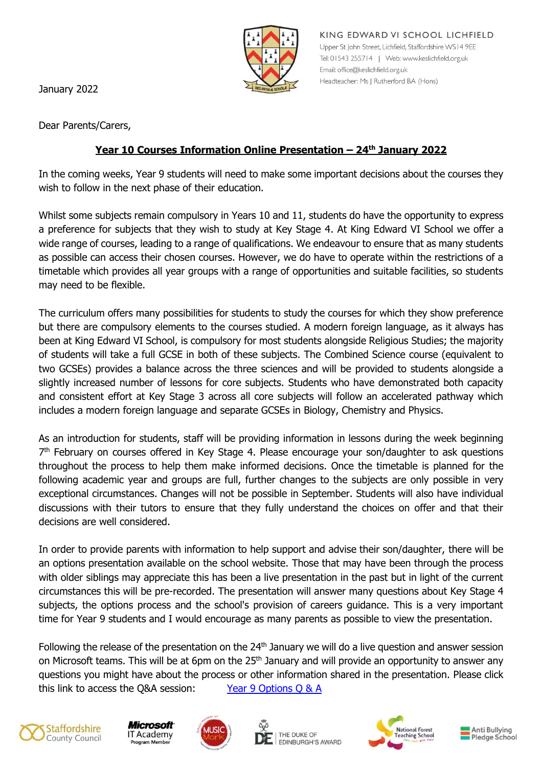

January 2022

Dear Parents/Carers,

## **Year 10 Courses Information Online Presentation – 24th January 2022**

In the coming weeks, Year 9 students will need to make some important decisions about the courses they wish to follow in the next phase of their education.

Whilst some subjects remain compulsory in Years 10 and 11, students do have the opportunity to express a preference for subjects that they wish to study at Key Stage 4. At King Edward VI School we offer a wide range of courses, leading to a range of qualifications. We endeavour to ensure that as many students as possible can access their chosen courses. However, we do have to operate within the restrictions of a timetable which provides all year groups with a range of opportunities and suitable facilities, so students may need to be flexible.

The curriculum offers many possibilities for students to study the courses for which they show preference but there are compulsory elements to the courses studied. A modern foreign language, as it always has been at King Edward VI School, is compulsory for most students alongside Religious Studies; the majority of students will take a full GCSE in both of these subjects. The Combined Science course (equivalent to two GCSEs) provides a balance across the three sciences and will be provided to students alongside a slightly increased number of lessons for core subjects. Students who have demonstrated both capacity and consistent effort at Key Stage 3 across all core subjects will follow an accelerated pathway which includes a modern foreign language and separate GCSEs in Biology, Chemistry and Physics.

As an introduction for students, staff will be providing information in lessons during the week beginning 7<sup>th</sup> February on courses offered in Key Stage 4. Please encourage your son/daughter to ask questions throughout the process to help them make informed decisions. Once the timetable is planned for the following academic year and groups are full, further changes to the subjects are only possible in very exceptional circumstances. Changes will not be possible in September. Students will also have individual discussions with their tutors to ensure that they fully understand the choices on offer and that their decisions are well considered.

In order to provide parents with information to help support and advise their son/daughter, there will be an options presentation available on the school website. Those that may have been through the process with older siblings may appreciate this has been a live presentation in the past but in light of the current circumstances this will be pre-recorded. The presentation will answer many questions about Key Stage 4 subjects, the options process and the school's provision of careers guidance. This is a very important time for Year 9 students and I would encourage as many parents as possible to view the presentation.

Following the release of the presentation on the 24<sup>th</sup> January we will do a live question and answer session on Microsoft teams. This will be at 6pm on the 25<sup>th</sup> January and will provide an opportunity to answer any questions you might have about the process or other information shared in the presentation. Please click this link to access the Q&A session:  $\frac{1}{2}$  [Year 9 Options Q & A](https://teams.microsoft.com/l/meetup-join/19%3ameeting_NTMyMmYwZTItNWQxNC00ZjI3LWI0YzUtZWI5N2RmNTMxMjYz%40thread.v2/0?context=%7b%22Tid%22%3a%22cd27f64a-587d-4ccd-a1ce-7755ac8f015d%22%2c%22Oid%22%3a%220edf3c41-74b8-486b-91c1-c27d6c710958%22%7d)